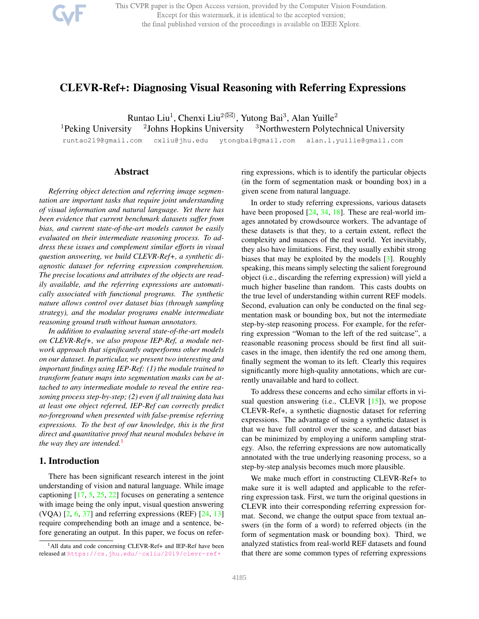This CVPR paper is the Open Access version, provided by the Computer Vision Foundation. Except for this watermark, it is identical to the accepted version; the final published version of the proceedings is available on IEEE Xplore.

# CLEVR-Ref+: Diagnosing Visual Reasoning with Referring Expressions

Runtao Liu<sup>1</sup>, Chenxi Liu<sup>2( $\boxtimes$ )</sup>, Yutong Bai<sup>3</sup>, Alan Yuille<sup>2</sup>

<sup>1</sup>Peking University  $\frac{2}{}$ Johns Hopkins University <sup>3</sup>Northwestern Polytechnical University

runtao219@gmail.com cxliu@jhu.edu ytongbai@gmail.com alan.l.yuille@gmail.com

# Abstract

*Referring object detection and referring image segmentation are important tasks that require joint understanding of visual information and natural language. Yet there has been evidence that current benchmark datasets suffer from bias, and current state-of-the-art models cannot be easily evaluated on their intermediate reasoning process. To address these issues and complement similar efforts in visual question answering, we build CLEVR-Ref+, a synthetic diagnostic dataset for referring expression comprehension. The precise locations and attributes of the objects are readily available, and the referring expressions are automatically associated with functional programs. The synthetic nature allows control over dataset bias (through sampling strategy), and the modular programs enable intermediate reasoning ground truth without human annotators.*

*In addition to evaluating several state-of-the-art models on CLEVR-Ref+, we also propose IEP-Ref, a module network approach that significantly outperforms other models on our dataset. In particular, we present two interesting and important findings using IEP-Ref: (1) the module trained to transform feature maps into segmentation masks can be attached to any intermediate module to reveal the entire reasoning process step-by-step; (2) even if all training data has at least one object referred, IEP-Ref can correctly predict no-foreground when presented with false-premise referring expressions. To the best of our knowledge, this is the first direct and quantitative proof that neural modules behave in the way they are intended.*<sup>1</sup>

#### 1. Introduction

There has been significant research interest in the joint understanding of vision and natural language. While image captioning [17, 5, 25, 22] focuses on generating a sentence with image being the only input, visual question answering  $(VQA)$  [2, 6, 37] and referring expressions (REF) [24, 13] require comprehending both an image and a sentence, before generating an output. In this paper, we focus on referring expressions, which is to identify the particular objects (in the form of segmentation mask or bounding box) in a given scene from natural language.

In order to study referring expressions, various datasets have been proposed [24, 34, 18]. These are real-world images annotated by crowdsource workers. The advantage of these datasets is that they, to a certain extent, reflect the complexity and nuances of the real world. Yet inevitably, they also have limitations. First, they usually exhibit strong biases that may be exploited by the models [3]. Roughly speaking, this means simply selecting the salient foreground object (i.e., discarding the referring expression) will yield a much higher baseline than random. This casts doubts on the true level of understanding within current REF models. Second, evaluation can only be conducted on the final segmentation mask or bounding box, but not the intermediate step-by-step reasoning process. For example, for the referring expression "Woman to the left of the red suitcase", a reasonable reasoning process should be first find all suitcases in the image, then identify the red one among them, finally segment the woman to its left. Clearly this requires significantly more high-quality annotations, which are currently unavailable and hard to collect.

To address these concerns and echo similar efforts in visual question answering (i.e., CLEVR [15]), we propose CLEVR-Ref+, a synthetic diagnostic dataset for referring expressions. The advantage of using a synthetic dataset is that we have full control over the scene, and dataset bias can be minimized by employing a uniform sampling strategy. Also, the referring expressions are now automatically annotated with the true underlying reasoning process, so a step-by-step analysis becomes much more plausible.

We make much effort in constructing CLEVR-Ref+ to make sure it is well adapted and applicable to the referring expression task. First, we turn the original questions in CLEVR into their corresponding referring expression format. Second, we change the output space from textual answers (in the form of a word) to referred objects (in the form of segmentation mask or bounding box). Third, we analyzed statistics from real-world REF datasets and found that there are some common types of referring expressions

<sup>&</sup>lt;sup>1</sup>All data and code concerning CLEVR-Ref+ and IEP-Ref have been released at https://cs.jhu.edu/˜cxliu/2019/clevr-ref+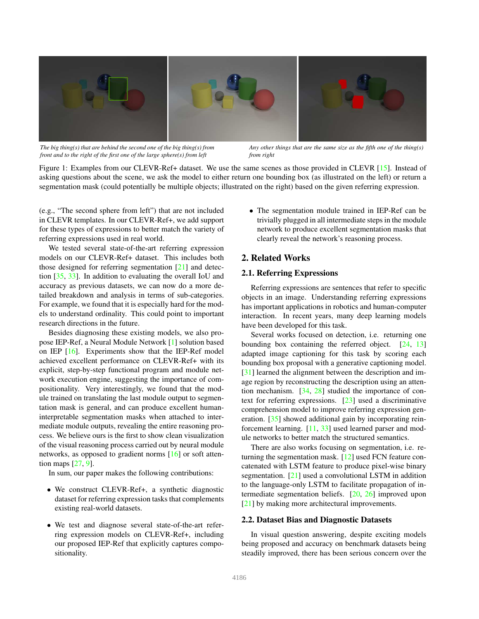

*The big thing(s) that are behind the second one of the big thing(s) from front and to the right of the first one of the large sphere(s) from left*

*Any other things that are the same size as the fifth one of the thing(s) from right*

Figure 1: Examples from our CLEVR-Ref+ dataset. We use the same scenes as those provided in CLEVR [15]. Instead of asking questions about the scene, we ask the model to either return one bounding box (as illustrated on the left) or return a segmentation mask (could potentially be multiple objects; illustrated on the right) based on the given referring expression.

(e.g., "The second sphere from left") that are not included in CLEVR templates. In our CLEVR-Ref+, we add support for these types of expressions to better match the variety of referring expressions used in real world.

We tested several state-of-the-art referring expression models on our CLEVR-Ref+ dataset. This includes both those designed for referring segmentation [21] and detection [35, 33]. In addition to evaluating the overall IoU and accuracy as previous datasets, we can now do a more detailed breakdown and analysis in terms of sub-categories. For example, we found that it is especially hard for the models to understand ordinality. This could point to important research directions in the future.

Besides diagnosing these existing models, we also propose IEP-Ref, a Neural Module Network [1] solution based on IEP [16]. Experiments show that the IEP-Ref model achieved excellent performance on CLEVR-Ref+ with its explicit, step-by-step functional program and module network execution engine, suggesting the importance of compositionality. Very interestingly, we found that the module trained on translating the last module output to segmentation mask is general, and can produce excellent humaninterpretable segmentation masks when attached to intermediate module outputs, revealing the entire reasoning process. We believe ours is the first to show clean visualization of the visual reasoning process carried out by neural module networks, as opposed to gradient norms [16] or soft attention maps [27, 9].

In sum, our paper makes the following contributions:

- We construct CLEVR-Ref+, a synthetic diagnostic dataset for referring expression tasks that complements existing real-world datasets.
- We test and diagnose several state-of-the-art referring expression models on CLEVR-Ref+, including our proposed IEP-Ref that explicitly captures compositionality.

• The segmentation module trained in IEP-Ref can be trivially plugged in all intermediate steps in the module network to produce excellent segmentation masks that clearly reveal the network's reasoning process.

## 2. Related Works

## 2.1. Referring Expressions

Referring expressions are sentences that refer to specific objects in an image. Understanding referring expressions has important applications in robotics and human-computer interaction. In recent years, many deep learning models have been developed for this task.

Several works focused on detection, i.e. returning one bounding box containing the referred object. [24, 13] adapted image captioning for this task by scoring each bounding box proposal with a generative captioning model. [31] learned the alignment between the description and image region by reconstructing the description using an attention mechanism. [34, 28] studied the importance of context for referring expressions. [23] used a discriminative comprehension model to improve referring expression generation. [35] showed additional gain by incorporating reinforcement learning. [11, 33] used learned parser and module networks to better match the structured semantics.

There are also works focusing on segmentation, i.e. returning the segmentation mask. [12] used FCN feature concatenated with LSTM feature to produce pixel-wise binary segmentation. [21] used a convolutional LSTM in addition to the language-only LSTM to facilitate propagation of intermediate segmentation beliefs. [20, 26] improved upon [21] by making more architectural improvements.

## 2.2. Dataset Bias and Diagnostic Datasets

In visual question answering, despite exciting models being proposed and accuracy on benchmark datasets being steadily improved, there has been serious concern over the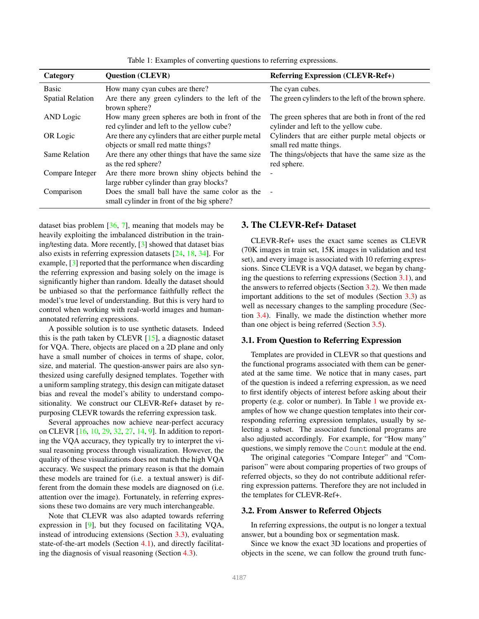| Category                | <b>Question (CLEVR)</b>                                                                      | <b>Referring Expression (CLEVR-Ref+)</b>                                                     |
|-------------------------|----------------------------------------------------------------------------------------------|----------------------------------------------------------------------------------------------|
| Basic                   | How many cyan cubes are there?                                                               | The cyan cubes.                                                                              |
| <b>Spatial Relation</b> | Are there any green cylinders to the left of the<br>brown sphere?                            | The green cylinders to the left of the brown sphere.                                         |
| AND Logic               | How many green spheres are both in front of the<br>red cylinder and left to the yellow cube? | The green spheres that are both in front of the red<br>cylinder and left to the yellow cube. |
| OR Logic                | Are there any cylinders that are either purple metal<br>objects or small red matte things?   | Cylinders that are either purple metal objects or<br>small red matte things.                 |
| <b>Same Relation</b>    | Are there any other things that have the same size<br>as the red sphere?                     | The things/objects that have the same size as the<br>red sphere.                             |
| Compare Integer         | Are there more brown shiny objects behind the<br>large rubber cylinder than gray blocks?     | $\blacksquare$                                                                               |
| Comparison              | Does the small ball have the same color as the<br>small cylinder in front of the big sphere? |                                                                                              |

Table 1: Examples of converting questions to referring expressions.

dataset bias problem  $[36, 7]$ , meaning that models may be heavily exploiting the imbalanced distribution in the training/testing data. More recently, [3] showed that dataset bias also exists in referring expression datasets [24, 18, 34]. For example, [3] reported that the performance when discarding the referring expression and basing solely on the image is significantly higher than random. Ideally the dataset should be unbiased so that the performance faithfully reflect the model's true level of understanding. But this is very hard to control when working with real-world images and humanannotated referring expressions.

A possible solution is to use synthetic datasets. Indeed this is the path taken by CLEVR  $[15]$ , a diagnostic dataset for VQA. There, objects are placed on a 2D plane and only have a small number of choices in terms of shape, color, size, and material. The question-answer pairs are also synthesized using carefully designed templates. Together with a uniform sampling strategy, this design can mitigate dataset bias and reveal the model's ability to understand compositionality. We construct our CLEVR-Ref+ dataset by repurposing CLEVR towards the referring expression task.

Several approaches now achieve near-perfect accuracy on CLEVR [16, 10, 29, 32, 27, 14, 9]. In addition to reporting the VQA accuracy, they typically try to interpret the visual reasoning process through visualization. However, the quality of these visualizations does not match the high VQA accuracy. We suspect the primary reason is that the domain these models are trained for (i.e. a textual answer) is different from the domain these models are diagnosed on (i.e. attention over the image). Fortunately, in referring expressions these two domains are very much interchangeable.

Note that CLEVR was also adapted towards referring expression in [9], but they focused on facilitating VQA, instead of introducing extensions (Section 3.3), evaluating state-of-the-art models (Section 4.1), and directly facilitating the diagnosis of visual reasoning (Section 4.3).

# 3. The CLEVR-Ref+ Dataset

CLEVR-Ref+ uses the exact same scenes as CLEVR (70K images in train set, 15K images in validation and test set), and every image is associated with 10 referring expressions. Since CLEVR is a VQA dataset, we began by changing the questions to referring expressions (Section 3.1), and the answers to referred objects (Section 3.2). We then made important additions to the set of modules (Section  $3.3$ ) as well as necessary changes to the sampling procedure (Section 3.4). Finally, we made the distinction whether more than one object is being referred (Section 3.5).

## 3.1. From Question to Referring Expression

Templates are provided in CLEVR so that questions and the functional programs associated with them can be generated at the same time. We notice that in many cases, part of the question is indeed a referring expression, as we need to first identify objects of interest before asking about their property (e.g. color or number). In Table 1 we provide examples of how we change question templates into their corresponding referring expression templates, usually by selecting a subset. The associated functional programs are also adjusted accordingly. For example, for "How many" questions, we simply remove the Count module at the end.

The original categories "Compare Integer" and "Comparison" were about comparing properties of two groups of referred objects, so they do not contribute additional referring expression patterns. Therefore they are not included in the templates for CLEVR-Ref+.

#### 3.2. From Answer to Referred Objects

In referring expressions, the output is no longer a textual answer, but a bounding box or segmentation mask.

Since we know the exact 3D locations and properties of objects in the scene, we can follow the ground truth func-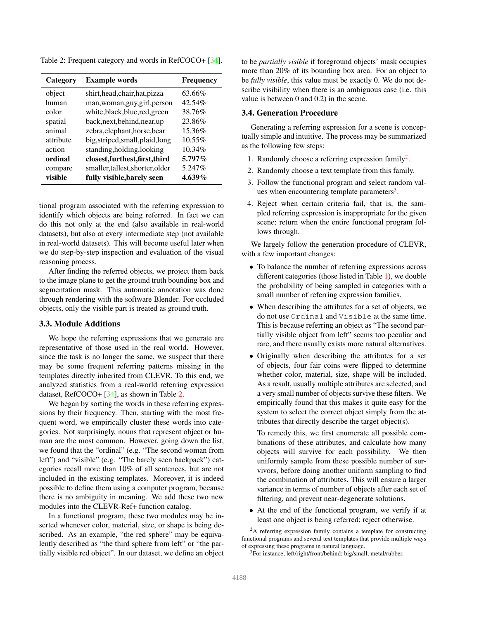Table 2: Frequent category and words in RefCOCO+ [34].

| Category  | <b>Example words</b>             | <b>Frequency</b> |
|-----------|----------------------------------|------------------|
| object    | shirt, head, chair, hat, pizza   | 63.66%           |
| human     | man, woman, guy, girl, person    | 42.54%           |
| color     | white, black, blue, red, green   | 38.76%           |
| spatial   | back, next, behind, near, up     | 23.86%           |
| animal    | zebra, elephant, horse, bear     | 15.36%           |
| attribute | big, striped, small, plaid, long | 10.55%           |
| action    | standing, holding, looking       | 10.34%           |
| ordinal   | closest,furthest,first,third     | 5.797%           |
| compare   | smaller, tallest, shorter, older | 5.247%           |
| visible   | fully visible, barely seen       | $4.639\%$        |

tional program associated with the referring expression to identify which objects are being referred. In fact we can do this not only at the end (also available in real-world datasets), but also at every intermediate step (not available in real-world datasets). This will become useful later when we do step-by-step inspection and evaluation of the visual reasoning process.

After finding the referred objects, we project them back to the image plane to get the ground truth bounding box and segmentation mask. This automatic annotation was done through rendering with the software Blender. For occluded objects, only the visible part is treated as ground truth.

#### 3.3. Module Additions

We hope the referring expressions that we generate are representative of those used in the real world. However, since the task is no longer the same, we suspect that there may be some frequent referring patterns missing in the templates directly inherited from CLEVR. To this end, we analyzed statistics from a real-world referring expression dataset, RefCOCO+ [34], as shown in Table 2.

We began by sorting the words in these referring expressions by their frequency. Then, starting with the most frequent word, we empirically cluster these words into categories. Not surprisingly, nouns that represent object or human are the most common. However, going down the list, we found that the "ordinal" (e.g. "The second woman from left") and "visible" (e.g. "The barely seen backpack") categories recall more than 10% of all sentences, but are not included in the existing templates. Moreover, it is indeed possible to define them using a computer program, because there is no ambiguity in meaning. We add these two new modules into the CLEVR-Ref+ function catalog.

In a functional program, these two modules may be inserted whenever color, material, size, or shape is being described. As an example, "the red sphere" may be equivalently described as "the third sphere from left" or "the partially visible red object". In our dataset, we define an object to be *partially visible* if foreground objects' mask occupies more than 20% of its bounding box area. For an object to be *fully visible*, this value must be exactly 0. We do not describe visibility when there is an ambiguous case (i.e. this value is between 0 and 0.2) in the scene.

#### 3.4. Generation Procedure

Generating a referring expression for a scene is conceptually simple and intuitive. The process may be summarized as the following few steps:

- 1. Randomly choose a referring expression family<sup>2</sup>.
- 2. Randomly choose a text template from this family.
- 3. Follow the functional program and select random values when encountering template parameters<sup>3</sup>.
- 4. Reject when certain criteria fail, that is, the sampled referring expression is inappropriate for the given scene; return when the entire functional program follows through.

We largely follow the generation procedure of CLEVR, with a few important changes:

- To balance the number of referring expressions across different categories (those listed in Table 1), we double the probability of being sampled in categories with a small number of referring expression families.
- When describing the attributes for a set of objects, we do not use Ordinal and Visible at the same time. This is because referring an object as "The second partially visible object from left" seems too peculiar and rare, and there usually exists more natural alternatives.
- Originally when describing the attributes for a set of objects, four fair coins were flipped to determine whether color, material, size, shape will be included. As a result, usually multiple attributes are selected, and a very small number of objects survive these filters. We empirically found that this makes it quite easy for the system to select the correct object simply from the attributes that directly describe the target object(s).

To remedy this, we first enumerate all possible combinations of these attributes, and calculate how many objects will survive for each possibility. We then uniformly sample from these possible number of survivors, before doing another uniform sampling to find the combination of attributes. This will ensure a larger variance in terms of number of objects after each set of filtering, and prevent near-degenerate solutions.

• At the end of the functional program, we verify if at least one object is being referred; reject otherwise.

<sup>&</sup>lt;sup>2</sup>A referring expression family contains a template for constructing functional programs and several text templates that provide multiple ways of expressing these programs in natural language.

<sup>&</sup>lt;sup>3</sup>For instance, left/right/front/behind; big/small; metal/rubber.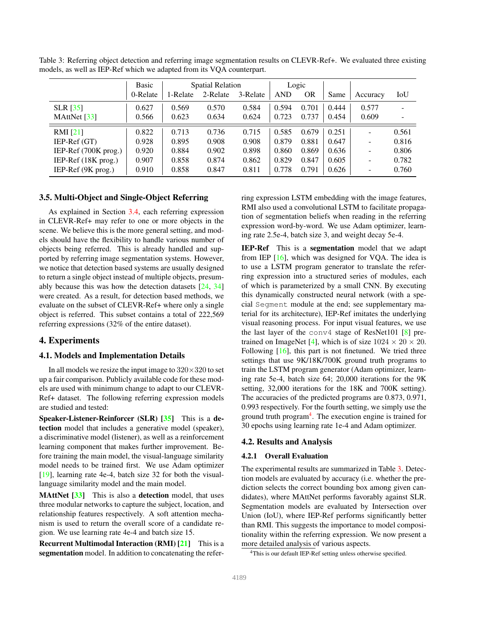|                      | Basic    | <b>Spatial Relation</b> |          | Logic    |            |           |       |                          |       |
|----------------------|----------|-------------------------|----------|----------|------------|-----------|-------|--------------------------|-------|
|                      | 0-Relate | 1-Relate                | 2-Relate | 3-Relate | <b>AND</b> | <b>OR</b> | Same  | Accuracy                 | IoU   |
| <b>SLR</b> [35]      | 0.627    | 0.569                   | 0.570    | 0.584    | 0.594      | 0.701     | 0.444 | 0.577                    |       |
| MAttNet [33]         | 0.566    | 0.623                   | 0.634    | 0.624    | 0.723      | 0.737     | 0.454 | 0.609                    |       |
| RMI $[21]$           | 0.822    | 0.713                   | 0.736    | 0.715    | 0.585      | 0.679     | 0.251 |                          | 0.561 |
| $IEP-Ref(GT)$        | 0.928    | 0.895                   | 0.908    | 0.908    | 0.879      | 0.881     | 0.647 | $\overline{\phantom{0}}$ | 0.816 |
| IEP-Ref (700K prog.) | 0.920    | 0.884                   | 0.902    | 0.898    | 0.860      | 0.869     | 0.636 | -                        | 0.806 |
| IEP-Ref (18K prog.)  | 0.907    | 0.858                   | 0.874    | 0.862    | 0.829      | 0.847     | 0.605 | $\overline{\phantom{a}}$ | 0.782 |
| IEP-Ref (9K prog.)   | 0.910    | 0.858                   | 0.847    | 0.811    | 0.778      | 0.791     | 0.626 |                          | 0.760 |

Table 3: Referring object detection and referring image segmentation results on CLEVR-Ref+. We evaluated three existing models, as well as IEP-Ref which we adapted from its VQA counterpart.

## 3.5. Multi-Object and Single-Object Referring

As explained in Section 3.4, each referring expression in CLEVR-Ref+ may refer to one or more objects in the scene. We believe this is the more general setting, and models should have the flexibility to handle various number of objects being referred. This is already handled and supported by referring image segmentation systems. However, we notice that detection based systems are usually designed to return a single object instead of multiple objects, presumably because this was how the detection datasets [24, 34] were created. As a result, for detection based methods, we evaluate on the subset of CLEVR-Ref+ where only a single object is referred. This subset contains a total of 222,569 referring expressions (32% of the entire dataset).

## 4. Experiments

## 4.1. Models and Implementation Details

In all models we resize the input image to  $320 \times 320$  to set up a fair comparison. Publicly available code for these models are used with minimum change to adapt to our CLEVR-Ref+ dataset. The following referring expression models are studied and tested:

Speaker-Listener-Reinforcer (SLR) [35] This is a detection model that includes a generative model (speaker), a discriminative model (listener), as well as a reinforcement learning component that makes further improvement. Before training the main model, the visual-language similarity model needs to be trained first. We use Adam optimizer [19], learning rate 4e-4, batch size 32 for both the visuallanguage similarity model and the main model.

MAttNet [33] This is also a detection model, that uses three modular networks to capture the subject, location, and relationship features respectively. A soft attention mechanism is used to return the overall score of a candidate region. We use learning rate 4e-4 and batch size 15.

Recurrent Multimodal Interaction (RMI) [21] This is a segmentation model. In addition to concatenating the referring expression LSTM embedding with the image features, RMI also used a convolutional LSTM to facilitate propagation of segmentation beliefs when reading in the referring expression word-by-word. We use Adam optimizer, learning rate 2.5e-4, batch size 3, and weight decay 5e-4.

IEP-Ref This is a segmentation model that we adapt from IEP [16], which was designed for VQA. The idea is to use a LSTM program generator to translate the referring expression into a structured series of modules, each of which is parameterized by a small CNN. By executing this dynamically constructed neural network (with a special Segment module at the end; see supplementary material for its architecture), IEP-Ref imitates the underlying visual reasoning process. For input visual features, we use the last layer of the conv4 stage of ResNet101 [8] pretrained on ImageNet [4], which is of size  $1024 \times 20 \times 20$ . Following [16], this part is not finetuned. We tried three settings that use 9K/18K/700K ground truth programs to train the LSTM program generator (Adam optimizer, learning rate 5e-4, batch size 64; 20,000 iterations for the 9K setting, 32,000 iterations for the 18K and 700K setting). The accuracies of the predicted programs are 0.873, 0.971, 0.993 respectively. For the fourth setting, we simply use the ground truth program<sup>4</sup>. The execution engine is trained for 30 epochs using learning rate 1e-4 and Adam optimizer.

# 4.2. Results and Analysis

## 4.2.1 Overall Evaluation

The experimental results are summarized in Table 3. Detection models are evaluated by accuracy (i.e. whether the prediction selects the correct bounding box among given candidates), where MAttNet performs favorably against SLR. Segmentation models are evaluated by Intersection over Union (IoU), where IEP-Ref performs significantly better than RMI. This suggests the importance to model compositionality within the referring expression. We now present a more detailed analysis of various aspects.

<sup>4</sup>This is our default IEP-Ref setting unless otherwise specified.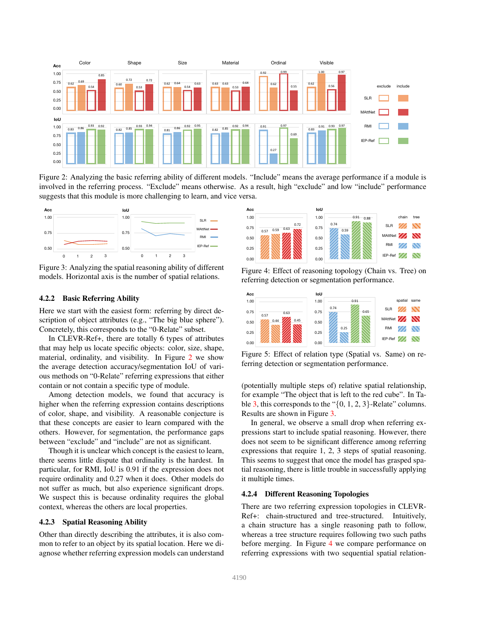

Figure 2: Analyzing the basic referring ability of different models. "Include" means the average performance if a module is involved in the referring process. "Exclude" means otherwise. As a result, high "exclude" and low "include" performance suggests that this module is more challenging to learn, and vice versa.



Figure 3: Analyzing the spatial reasoning ability of different models. Horizontal axis is the number of spatial relations.

#### 4.2.2 Basic Referring Ability

Here we start with the easiest form: referring by direct description of object attributes (e.g., "The big blue sphere"). Concretely, this corresponds to the "0-Relate" subset.

In CLEVR-Ref+, there are totally 6 types of attributes that may help us locate specific objects: color, size, shape, material, ordinality, and visibility. In Figure 2 we show the average detection accuracy/segmentation IoU of various methods on "0-Relate" referring expressions that either contain or not contain a specific type of module.

Among detection models, we found that accuracy is higher when the referring expression contains descriptions of color, shape, and visibility. A reasonable conjecture is that these concepts are easier to learn compared with the others. However, for segmentation, the performance gaps between "exclude" and "include" are not as significant.

Though it is unclear which concept is the easiest to learn, there seems little dispute that ordinality is the hardest. In particular, for RMI, IoU is 0.91 if the expression does not require ordinality and 0.27 when it does. Other models do not suffer as much, but also experience significant drops. We suspect this is because ordinality requires the global context, whereas the others are local properties.

#### 4.2.3 Spatial Reasoning Ability

Other than directly describing the attributes, it is also common to refer to an object by its spatial location. Here we diagnose whether referring expression models can understand



Figure 4: Effect of reasoning topology (Chain vs. Tree) on referring detection or segmentation performance.



Figure 5: Effect of relation type (Spatial vs. Same) on referring detection or segmentation performance.

(potentially multiple steps of) relative spatial relationship, for example "The object that is left to the red cube". In Table  $3$ , this corresponds to the " $\{0, 1, 2, 3\}$ -Relate" columns. Results are shown in Figure 3.

In general, we observe a small drop when referring expressions start to include spatial reasoning. However, there does not seem to be significant difference among referring expressions that require 1, 2, 3 steps of spatial reasoning. This seems to suggest that once the model has grasped spatial reasoning, there is little trouble in successfully applying it multiple times.

#### 4.2.4 Different Reasoning Topologies

There are two referring expression topologies in CLEVR-Ref+: chain-structured and tree-structured. Intuitively, a chain structure has a single reasoning path to follow, whereas a tree structure requires following two such paths before merging. In Figure 4 we compare performance on referring expressions with two sequential spatial relation-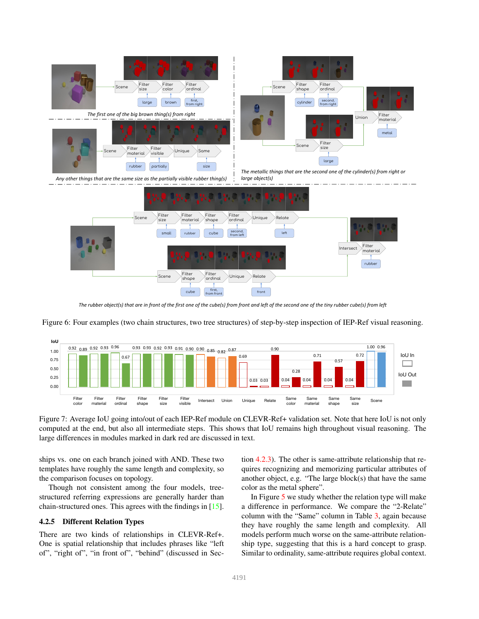

*The rubber object(s) that are in front of the first one of the cube(s) from front and left of the second one of the tiny rubber cube(s) from left*





Figure 7: Average IoU going into/out of each IEP-Ref module on CLEVR-Ref+ validation set. Note that here IoU is not only computed at the end, but also all intermediate steps. This shows that IoU remains high throughout visual reasoning. The large differences in modules marked in dark red are discussed in text.

ships vs. one on each branch joined with AND. These two templates have roughly the same length and complexity, so the comparison focuses on topology.

Though not consistent among the four models, treestructured referring expressions are generally harder than chain-structured ones. This agrees with the findings in [15].

## 4.2.5 Different Relation Types

There are two kinds of relationships in CLEVR-Ref+. One is spatial relationship that includes phrases like "left of", "right of", "in front of", "behind" (discussed in Section 4.2.3). The other is same-attribute relationship that requires recognizing and memorizing particular attributes of another object, e.g. "The large block(s) that have the same color as the metal sphere".

In Figure 5 we study whether the relation type will make a difference in performance. We compare the "2-Relate" column with the "Same" column in Table 3, again because they have roughly the same length and complexity. All models perform much worse on the same-attribute relationship type, suggesting that this is a hard concept to grasp. Similar to ordinality, same-attribute requires global context.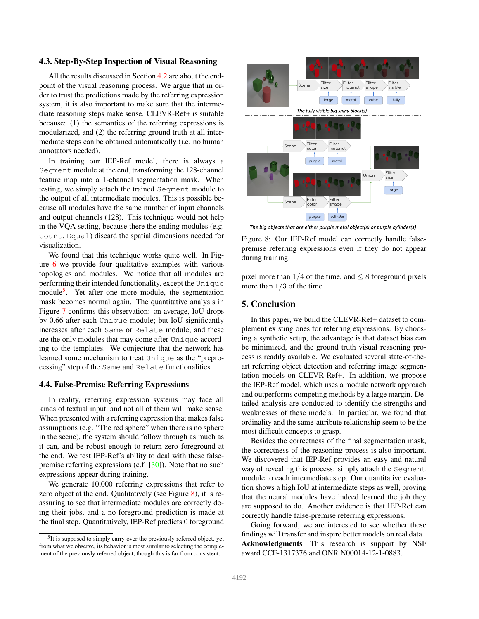#### 4.3. Step-By-Step Inspection of Visual Reasoning

All the results discussed in Section 4.2 are about the endpoint of the visual reasoning process. We argue that in order to trust the predictions made by the referring expression system, it is also important to make sure that the intermediate reasoning steps make sense. CLEVR-Ref+ is suitable because: (1) the semantics of the referring expressions is modularized, and (2) the referring ground truth at all intermediate steps can be obtained automatically (i.e. no human annotators needed).

In training our IEP-Ref model, there is always a Segment module at the end, transforming the 128-channel feature map into a 1-channel segmentation mask. When testing, we simply attach the trained Segment module to the output of all intermediate modules. This is possible because all modules have the same number of input channels and output channels (128). This technique would not help in the VQA setting, because there the ending modules (e.g. Count, Equal) discard the spatial dimensions needed for visualization.

We found that this technique works quite well. In Figure 6 we provide four qualitative examples with various topologies and modules. We notice that all modules are performing their intended functionality, except the Unique module<sup>5</sup>. Yet after one more module, the segmentation mask becomes normal again. The quantitative analysis in Figure 7 confirms this observation: on average, IoU drops by 0.66 after each Unique module; but IoU significantly increases after each Same or Relate module, and these are the only modules that may come after Unique according to the templates. We conjecture that the network has learned some mechanism to treat Unique as the "preprocessing" step of the Same and Relate functionalities.

#### 4.4. False-Premise Referring Expressions

In reality, referring expression systems may face all kinds of textual input, and not all of them will make sense. When presented with a referring expression that makes false assumptions (e.g. "The red sphere" when there is no sphere in the scene), the system should follow through as much as it can, and be robust enough to return zero foreground at the end. We test IEP-Ref's ability to deal with these falsepremise referring expressions (c.f. [30]). Note that no such expressions appear during training.

We generate 10,000 referring expressions that refer to zero object at the end. Qualitatively (see Figure 8), it is reassuring to see that intermediate modules are correctly doing their jobs, and a no-foreground prediction is made at the final step. Quantitatively, IEP-Ref predicts 0 foreground



The big objects that are either purple metal object(s) or purple cylinder(s)

Figure 8: Our IEP-Ref model can correctly handle falsepremise referring expressions even if they do not appear during training.

pixel more than  $1/4$  of the time, and  $\leq 8$  foreground pixels more than 1/3 of the time.

## 5. Conclusion

In this paper, we build the CLEVR-Ref+ dataset to complement existing ones for referring expressions. By choosing a synthetic setup, the advantage is that dataset bias can be minimized, and the ground truth visual reasoning process is readily available. We evaluated several state-of-theart referring object detection and referring image segmentation models on CLEVR-Ref+. In addition, we propose the IEP-Ref model, which uses a module network approach and outperforms competing methods by a large margin. Detailed analysis are conducted to identify the strengths and weaknesses of these models. In particular, we found that ordinality and the same-attribute relationship seem to be the most difficult concepts to grasp.

Besides the correctness of the final segmentation mask, the correctness of the reasoning process is also important. We discovered that IEP-Ref provides an easy and natural way of revealing this process: simply attach the Segment module to each intermediate step. Our quantitative evaluation shows a high IoU at intermediate steps as well, proving that the neural modules have indeed learned the job they are supposed to do. Another evidence is that IEP-Ref can correctly handle false-premise referring expressions.

Going forward, we are interested to see whether these findings will transfer and inspire better models on real data. Acknowledgments This research is support by NSF award CCF-1317376 and ONR N00014-12-1-0883.

<sup>&</sup>lt;sup>5</sup>It is supposed to simply carry over the previously referred object, yet from what we observe, its behavior is most similar to selecting the complement of the previously referred object, though this is far from consistent.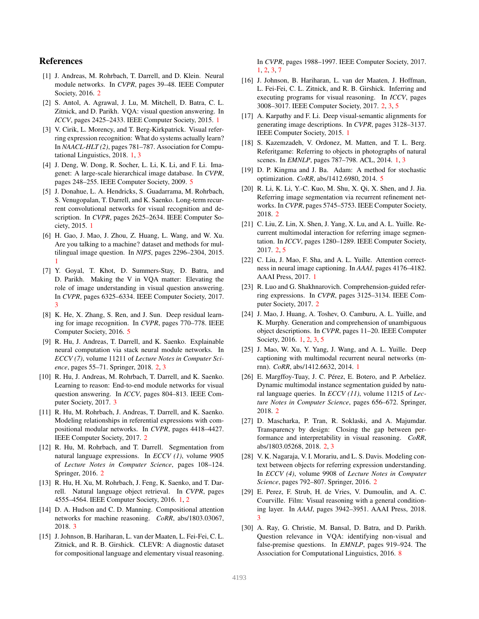# References

- [1] J. Andreas, M. Rohrbach, T. Darrell, and D. Klein. Neural module networks. In *CVPR*, pages 39–48. IEEE Computer Society, 2016. 2
- [2] S. Antol, A. Agrawal, J. Lu, M. Mitchell, D. Batra, C. L. Zitnick, and D. Parikh. VQA: visual question answering. In *ICCV*, pages 2425–2433. IEEE Computer Society, 2015. 1
- [3] V. Cirik, L. Morency, and T. Berg-Kirkpatrick. Visual referring expression recognition: What do systems actually learn? In *NAACL-HLT (2)*, pages 781–787. Association for Computational Linguistics, 2018. 1, 3
- [4] J. Deng, W. Dong, R. Socher, L. Li, K. Li, and F. Li. Imagenet: A large-scale hierarchical image database. In *CVPR*, pages 248–255. IEEE Computer Society, 2009. 5
- [5] J. Donahue, L. A. Hendricks, S. Guadarrama, M. Rohrbach, S. Venugopalan, T. Darrell, and K. Saenko. Long-term recurrent convolutional networks for visual recognition and description. In *CVPR*, pages 2625–2634. IEEE Computer Society, 2015. 1
- [6] H. Gao, J. Mao, J. Zhou, Z. Huang, L. Wang, and W. Xu. Are you talking to a machine? dataset and methods for multilingual image question. In *NIPS*, pages 2296–2304, 2015. 1
- [7] Y. Goyal, T. Khot, D. Summers-Stay, D. Batra, and D. Parikh. Making the V in VQA matter: Elevating the role of image understanding in visual question answering. In *CVPR*, pages 6325–6334. IEEE Computer Society, 2017. 3
- [8] K. He, X. Zhang, S. Ren, and J. Sun. Deep residual learning for image recognition. In *CVPR*, pages 770–778. IEEE Computer Society, 2016. 5
- [9] R. Hu, J. Andreas, T. Darrell, and K. Saenko. Explainable neural computation via stack neural module networks. In *ECCV (7)*, volume 11211 of *Lecture Notes in Computer Science*, pages 55–71. Springer, 2018. 2, 3
- [10] R. Hu, J. Andreas, M. Rohrbach, T. Darrell, and K. Saenko. Learning to reason: End-to-end module networks for visual question answering. In *ICCV*, pages 804–813. IEEE Computer Society, 2017. 3
- [11] R. Hu, M. Rohrbach, J. Andreas, T. Darrell, and K. Saenko. Modeling relationships in referential expressions with compositional modular networks. In *CVPR*, pages 4418–4427. IEEE Computer Society, 2017. 2
- [12] R. Hu, M. Rohrbach, and T. Darrell. Segmentation from natural language expressions. In *ECCV (1)*, volume 9905 of *Lecture Notes in Computer Science*, pages 108–124. Springer, 2016. 2
- [13] R. Hu, H. Xu, M. Rohrbach, J. Feng, K. Saenko, and T. Darrell. Natural language object retrieval. In *CVPR*, pages 4555–4564. IEEE Computer Society, 2016. 1, 2
- [14] D. A. Hudson and C. D. Manning. Compositional attention networks for machine reasoning. *CoRR*, abs/1803.03067, 2018. 3
- [15] J. Johnson, B. Hariharan, L. van der Maaten, L. Fei-Fei, C. L. Zitnick, and R. B. Girshick. CLEVR: A diagnostic dataset for compositional language and elementary visual reasoning.

In *CVPR*, pages 1988–1997. IEEE Computer Society, 2017. 1, 2, 3, 7

- [16] J. Johnson, B. Hariharan, L. van der Maaten, J. Hoffman, L. Fei-Fei, C. L. Zitnick, and R. B. Girshick. Inferring and executing programs for visual reasoning. In *ICCV*, pages 3008–3017. IEEE Computer Society, 2017. 2, 3, 5
- [17] A. Karpathy and F. Li. Deep visual-semantic alignments for generating image descriptions. In *CVPR*, pages 3128–3137. IEEE Computer Society, 2015. 1
- [18] S. Kazemzadeh, V. Ordonez, M. Matten, and T. L. Berg. Referitgame: Referring to objects in photographs of natural scenes. In *EMNLP*, pages 787–798. ACL, 2014. 1, 3
- [19] D. P. Kingma and J. Ba. Adam: A method for stochastic optimization. *CoRR*, abs/1412.6980, 2014. 5
- [20] R. Li, K. Li, Y.-C. Kuo, M. Shu, X. Qi, X. Shen, and J. Jia. Referring image segmentation via recurrent refinement networks. In *CVPR*, pages 5745–5753. IEEE Computer Society, 2018. 2
- [21] C. Liu, Z. Lin, X. Shen, J. Yang, X. Lu, and A. L. Yuille. Recurrent multimodal interaction for referring image segmentation. In *ICCV*, pages 1280–1289. IEEE Computer Society, 2017. 2, 5
- [22] C. Liu, J. Mao, F. Sha, and A. L. Yuille. Attention correctness in neural image captioning. In *AAAI*, pages 4176–4182. AAAI Press, 2017. 1
- [23] R. Luo and G. Shakhnarovich. Comprehension-guided referring expressions. In *CVPR*, pages 3125–3134. IEEE Computer Society, 2017. 2
- [24] J. Mao, J. Huang, A. Toshev, O. Camburu, A. L. Yuille, and K. Murphy. Generation and comprehension of unambiguous object descriptions. In *CVPR*, pages 11–20. IEEE Computer Society, 2016. 1, 2, 3, 5
- [25] J. Mao, W. Xu, Y. Yang, J. Wang, and A. L. Yuille. Deep captioning with multimodal recurrent neural networks (mrnn). *CoRR*, abs/1412.6632, 2014. 1
- [26] E. Margffoy-Tuay, J. C. Pérez, E. Botero, and P. Arbeláez. Dynamic multimodal instance segmentation guided by natural language queries. In *ECCV (11)*, volume 11215 of *Lecture Notes in Computer Science*, pages 656–672. Springer, 2018. 2
- [27] D. Mascharka, P. Tran, R. Soklaski, and A. Majumdar. Transparency by design: Closing the gap between performance and interpretability in visual reasoning. *CoRR*, abs/1803.05268, 2018. 2, 3
- [28] V. K. Nagaraja, V. I. Morariu, and L. S. Davis. Modeling context between objects for referring expression understanding. In *ECCV (4)*, volume 9908 of *Lecture Notes in Computer Science*, pages 792–807. Springer, 2016. 2
- [29] E. Perez, F. Strub, H. de Vries, V. Dumoulin, and A. C. Courville. Film: Visual reasoning with a general conditioning layer. In *AAAI*, pages 3942–3951. AAAI Press, 2018. 3
- [30] A. Ray, G. Christie, M. Bansal, D. Batra, and D. Parikh. Question relevance in VQA: identifying non-visual and false-premise questions. In *EMNLP*, pages 919–924. The Association for Computational Linguistics, 2016. 8